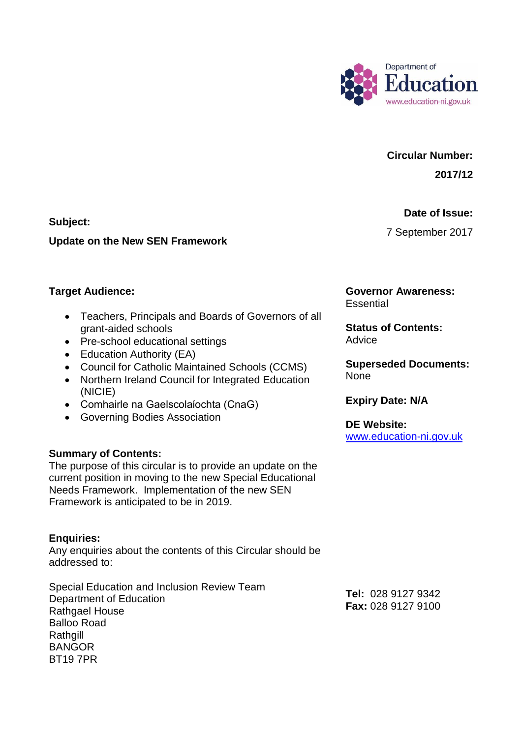

# **Circular Number:**

**2017/12** 

#### **Date of Issue:**

7 September 2017

**Subject:** 

#### **Update on the New SEN Framework**

## **Target Audience:**

- Teachers, Principals and Boards of Governors of all grant-aided schools
- Pre-school educational settings
- Education Authority (EA)
- Council for Catholic Maintained Schools (CCMS)
- Northern Ireland Council for Integrated Education (NICIE)
- Comhairle na Gaelscolaίochta (CnaG)
- Governing Bodies Association

## **Summary of Contents:**

 The purpose of this circular is to provide an update on the current position in moving to the new Special Educational Needs Framework. Implementation of the new SEN Framework is anticipated to be in 2019.

## **Enquiries:**

Any enquiries about the contents of this Circular should be addressed to:

Special Education and Inclusion Review Team Department of Education Rathgael House Balloo Road Rathqill **BANGOR** BT19 7PR

**Governor Awareness: Essential** 

**Status of Contents:**  Advice

**Superseded Documents:**  None

**Expiry Date: N/A** 

**DE Website:**  [www.education-ni.gov.uk](http://www.education-ni.gov.uk/) 

 **Tel:** 028 9127 9342 **Fax:** 028 9127 9100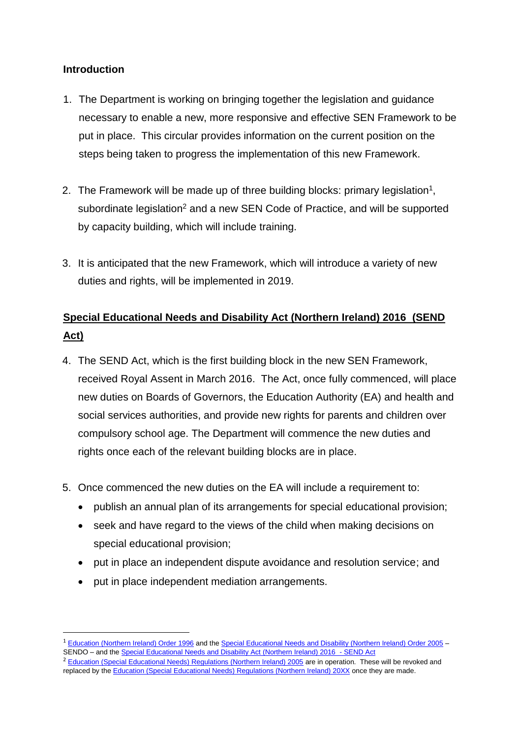## **Introduction**

**.** 

- necessary to enable a new, more responsive and effective SEN Framework to be put in place. This circular provides information on the current position on the 1. The Department is working on bringing together the legislation and guidance steps being taken to progress the implementation of this new Framework.
- 2. The Framework will be made up of three building blocks: primary legislation<sup>1</sup>, subordinate legislation<sup>2</sup> and a new SEN Code of Practice, and will be supported by capacity building, which will include training.
- 3. It is anticipated that the new Framework, which will introduce a variety of new duties and rights, will be implemented in 2019.

# **[Special Educational Needs and Disability Act \(Northern Ireland\) 2016](http://www.legislation.gov.uk/nia/2016/8/contents) (SEND Act)**

- 4. The SEND Act, which is the first building block in the new SEN Framework, received Royal Assent in March 2016. The Act, once fully commenced, will place rights once each of the relevant building blocks are in place. new duties on Boards of Governors, the Education Authority (EA) and health and social services authorities, and provide new rights for parents and children over compulsory school age. The Department will commence the new duties and
- 5. Once commenced the new duties on the EA will include a requirement to:
	- publish an annual plan of its arrangements for special educational provision;
	- seek and have regard to the views of the child when making decisions on special educational provision;
	- put in place an independent dispute avoidance and resolution service; and
	- put in place independent mediation arrangements.

<sup>&</sup>lt;sup>1</sup> [Education \(Northern Ireland\) Order 1996](http://www.legislation.gov.uk/nisi/1996/274/contents) and th[e Special Educational Needs and Disability \(Northern Ireland\) Order 2005](http://www.legislation.gov.uk/nisi/2005/1117/contents) SENDO – and th[e Special Educational Needs and Disability Act \(Northern Ireland\) 2016](http://www.legislation.gov.uk/nia/2016/8/contents) - SEND Act

<sup>&</sup>lt;sup>2</sup> [Education \(Special Educational Needs\) Regulations \(Northern Ireland\) 2005](http://www.legislation.gov.uk/nisr/2005/384/contents/made) are in operation. These will be revoked and replaced by the *Education (Special Educational Needs) Regulations (Northern Ireland) 20XX* once they are made.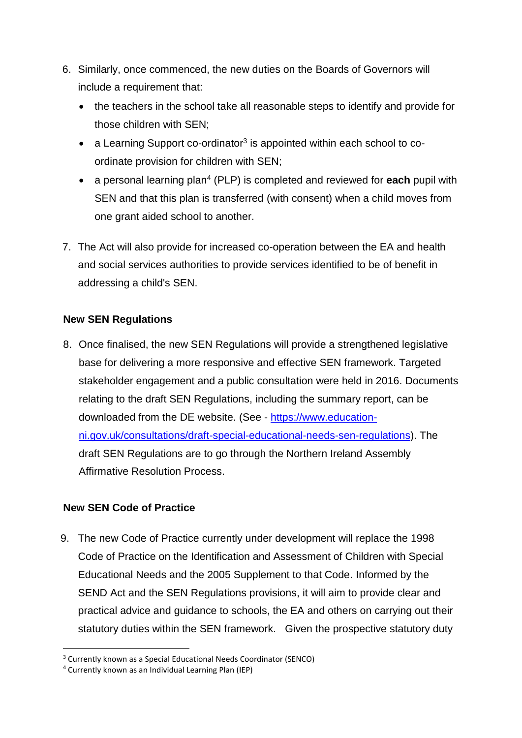- include a requirement that: 6. Similarly, once commenced, the new duties on the Boards of Governors will
	- the teachers in the school take all reasonable steps to identify and provide for those children with SEN;
	- $\bullet$  a Learning Support co-ordinator<sup>3</sup> is appointed within each school to coordinate provision for children with SEN;
	- a personal learning plan<sup>4</sup> (PLP) is completed and reviewed for **each** pupil with SEN and that this plan is transferred (with consent) when a child moves from one grant aided school to another.
- 7. The Act will also provide for increased co-operation between the EA and health and social services authorities to provide services identified to be of benefit in addressing a child's SEN.

## **New SEN Regulations**

 8. Once finalised, the new SEN Regulations will provide a strengthened legislative downloaded from the DE website. (See - [https://www.education-](https://www.education-ni.gov.uk/consultations/draft-special-educational-needs-sen-regulations) draft SEN Regulations are to go through the Northern Ireland Assembly Affirmative Resolution Process. base for delivering a more responsive and effective SEN framework. Targeted stakeholder engagement and a public consultation were held in 2016. Documents relating to the draft SEN Regulations, including the summary report, can be [ni.gov.uk/consultations/draft-special-educational-needs-sen-regulations\)](https://www.education-ni.gov.uk/consultations/draft-special-educational-needs-sen-regulations). The

## **New SEN Code of Practice**

1

 9. The new Code of Practice currently under development will replace the 1998 SEND Act and the SEN Regulations provisions, it will aim to provide clear and practical advice and guidance to schools, the EA and others on carrying out their Code of Practice on the Identification and Assessment of Children with Special Educational Needs and the 2005 Supplement to that Code. Informed by the statutory duties within the SEN framework. Given the prospective statutory duty

<sup>&</sup>lt;sup>3</sup> Currently known as a Special Educational Needs Coordinator (SENCO)

 4 Currently known as an Individual Learning Plan (IEP)